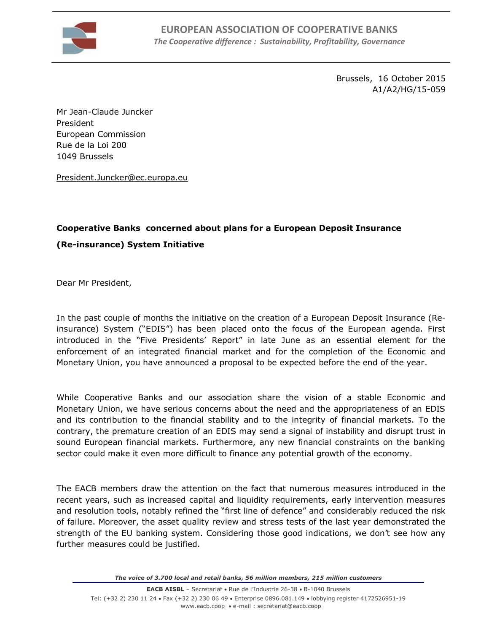

Brussels, 16 October 2015 A1/A2/HG/15-059

Mr Jean-Claude Juncker President European Commission Rue de la Loi 200 1049 Brussels

[President.Juncker@ec.europa.eu](mailto:President.Juncker@ec.europa.eu)

## **Cooperative Banks concerned about plans for a European Deposit Insurance (Re-insurance) System Initiative**

Dear Mr President,

In the past couple of months the initiative on the creation of a European Deposit Insurance (Reinsurance) System ("EDIS") has been placed onto the focus of the European agenda. First introduced in the "Five Presidents' Report" in late June as an essential element for the enforcement of an integrated financial market and for the completion of the Economic and Monetary Union, you have announced a proposal to be expected before the end of the year.

While Cooperative Banks and our association share the vision of a stable Economic and Monetary Union, we have serious concerns about the need and the appropriateness of an EDIS and its contribution to the financial stability and to the integrity of financial markets. To the contrary, the premature creation of an EDIS may send a signal of instability and disrupt trust in sound European financial markets. Furthermore, any new financial constraints on the banking sector could make it even more difficult to finance any potential growth of the economy.

The EACB members draw the attention on the fact that numerous measures introduced in the recent years, such as increased capital and liquidity requirements, early intervention measures and resolution tools, notably refined the "first line of defence" and considerably reduced the risk of failure. Moreover, the asset quality review and stress tests of the last year demonstrated the strength of the EU banking system. Considering those good indications, we don't see how any further measures could be justified.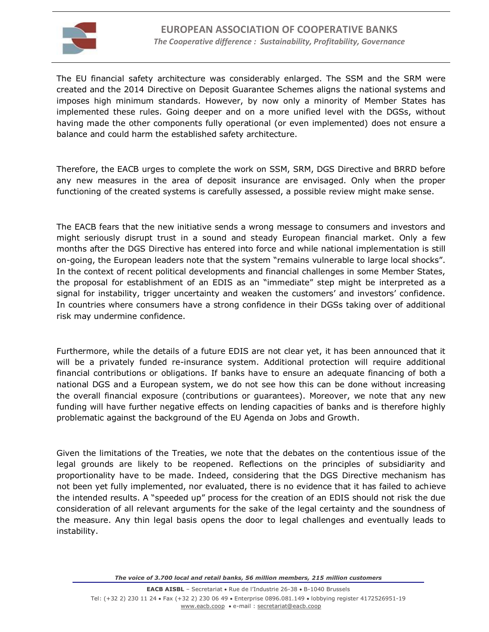

The EU financial safety architecture was considerably enlarged. The SSM and the SRM were created and the 2014 Directive on Deposit Guarantee Schemes aligns the national systems and imposes high minimum standards. However, by now only a minority of Member States has implemented these rules. Going deeper and on a more unified level with the DGSs, without having made the other components fully operational (or even implemented) does not ensure a balance and could harm the established safety architecture.

Therefore, the EACB urges to complete the work on SSM, SRM, DGS Directive and BRRD before any new measures in the area of deposit insurance are envisaged. Only when the proper functioning of the created systems is carefully assessed, a possible review might make sense.

The EACB fears that the new initiative sends a wrong message to consumers and investors and might seriously disrupt trust in a sound and steady European financial market. Only a few months after the DGS Directive has entered into force and while national implementation is still on-going, the European leaders note that the system "remains vulnerable to large local shocks". In the context of recent political developments and financial challenges in some Member States, the proposal for establishment of an EDIS as an "immediate" step might be interpreted as a signal for instability, trigger uncertainty and weaken the customers' and investors' confidence. In countries where consumers have a strong confidence in their DGSs taking over of additional risk may undermine confidence.

Furthermore, while the details of a future EDIS are not clear yet, it has been announced that it will be a privately funded re-insurance system. Additional protection will require additional financial contributions or obligations. If banks have to ensure an adequate financing of both a national DGS and a European system, we do not see how this can be done without increasing the overall financial exposure (contributions or guarantees). Moreover, we note that any new funding will have further negative effects on lending capacities of banks and is therefore highly problematic against the background of the EU Agenda on Jobs and Growth.

Given the limitations of the Treaties, we note that the debates on the contentious issue of the legal grounds are likely to be reopened. Reflections on the principles of subsidiarity and proportionality have to be made. Indeed, considering that the DGS Directive mechanism has not been yet fully implemented, nor evaluated, there is no evidence that it has failed to achieve the intended results. A "speeded up" process for the creation of an EDIS should not risk the due consideration of all relevant arguments for the sake of the legal certainty and the soundness of the measure. Any thin legal basis opens the door to legal challenges and eventually leads to instability.